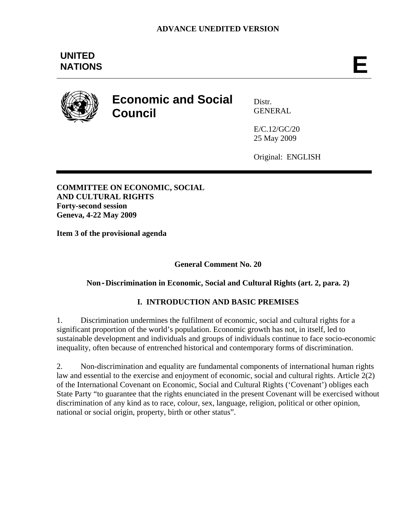**UNITED**  UNITED<br>NATIONS **EXAMPLE 2006** 



# **Economic and Social Council**

Distr. GENERAL

E/C.12/GC/20 25 May 2009

Original: ENGLISH

**COMMITTEE ON ECONOMIC, SOCIAL AND CULTURAL RIGHTS Forty-second session Geneva, 4-22 May 2009** 

**Item 3 of the provisional agenda**

**General Comment No. 20** 

**Non-Discrimination in Economic, Social and Cultural Rights (art. 2, para. 2)** 

## **I. INTRODUCTION AND BASIC PREMISES**

1. Discrimination undermines the fulfilment of economic, social and cultural rights for a significant proportion of the world's population. Economic growth has not, in itself, led to sustainable development and individuals and groups of individuals continue to face socio-economic inequality, often because of entrenched historical and contemporary forms of discrimination.

2. Non-discrimination and equality are fundamental components of international human rights law and essential to the exercise and enjoyment of economic, social and cultural rights. Article 2(2) of the International Covenant on Economic, Social and Cultural Rights ('Covenant') obliges each State Party "to guarantee that the rights enunciated in the present Covenant will be exercised without discrimination of any kind as to race, colour, sex, language, religion, political or other opinion, national or social origin, property, birth or other status".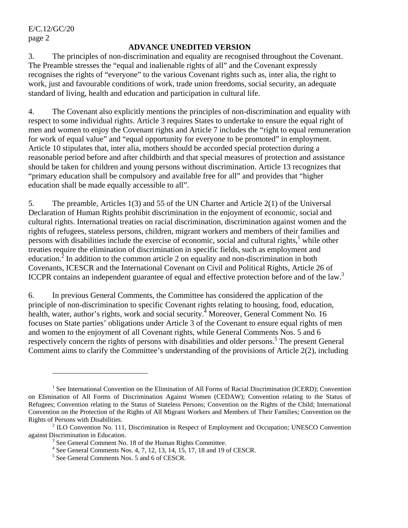<span id="page-1-0"></span> $\overline{a}$ 

#### **ADVANCE UNEDITED VERSION**

3. The principles of non-discrimination and equality are recognised throughout the Covenant. The Preamble stresses the "equal and inalienable rights of all" and the Covenant expressly recognises the rights of "everyone" to the various Covenant rights such as, inter alia, the right to work, just and favourable conditions of work, trade union freedoms, social security, an adequate standard of living, health and education and participation in cultural life.

4. The Covenant also explicitly mentions the principles of non-discrimination and equality with respect to some individual rights. Article 3 requires States to undertake to ensure the equal right of men and women to enjoy the Covenant rights and Article 7 includes the "right to equal remuneration for work of equal value" and "equal opportunity for everyone to be promoted" in employment. Article 10 stipulates that, inter alia, mothers should be accorded special protection during a reasonable period before and after childbirth and that special measures of protection and assistance should be taken for children and young persons without discrimination. Article 13 recognizes that "primary education shall be compulsory and available free for all" and provides that "higher education shall be made equally accessible to all".

5. The preamble, Articles 1(3) and 55 of the UN Charter and Article 2(1) of the Universal Declaration of Human Rights prohibit discrimination in the enjoyment of economic, social and cultural rights. International treaties on racial discrimination, discrimination against women and the rights of refugees, stateless persons, children, migrant workers and members of their families and persons with disabilities include the exercise of economic, social and cultural rights,<sup>[1](#page-1-0)</sup> while other treaties require the elimination of discrimination in specific fields, such as employment and education.<sup>2</sup> In addition to the common article 2 on equality and non-discrimination in both Covenants, ICESCR and the International Covenant on Civil and Political Rights, Article 26 of ICCPR contains an independent guarantee of equal and effective protection before and of the law.<sup>[3](#page-1-2)</sup>

6. In previous General Comments, the Committee has considered the application of the principle of non-discrimination to specific Covenant rights relating to housing, food, education, health, water, author's rights, work and social security.<sup>[4](#page-1-3)</sup> Moreover, General Comment No. 16 focuses on State parties' obligations under Article 3 of the Covenant to ensure equal rights of men and women to the enjoyment of all Covenant rights, while General Comments Nos. 5 and 6 respectively concern the rights of persons with disabilities and older persons.<sup>[5](#page-1-4)</sup> The present General Comment aims to clarify the Committee's understanding of the provisions of Article 2(2), including

<sup>&</sup>lt;sup>1</sup> See International Convention on the Elimination of All Forms of Racial Discrimination (ICERD); Convention on Elimination of All Forms of Discrimination Against Women (CEDAW); Convention relating to the Status of Refugees; Convention relating to the Status of Stateless Persons; Convention on the Rights of the Child; International Convention on the Protection of the Rights of All Migrant Workers and Members of Their Families; Convention on the Rights of Persons with Disabilities. <sup>2</sup>

 $2$  ILO Convention No. 111, Discrimination in Respect of Employment and Occupation; UNESCO Convention against Discrimination in Education. 3

<span id="page-1-2"></span><span id="page-1-1"></span><sup>&</sup>lt;sup>3</sup> See General Comment No. 18 of the Human Rights Committee.

<span id="page-1-3"></span><sup>4</sup> See General Comments Nos. 4, 7, 12, 13, 14, 15, 17, 18 and 19 of CESCR.

<span id="page-1-4"></span><sup>5</sup> See General Comments Nos. 5 and 6 of CESCR.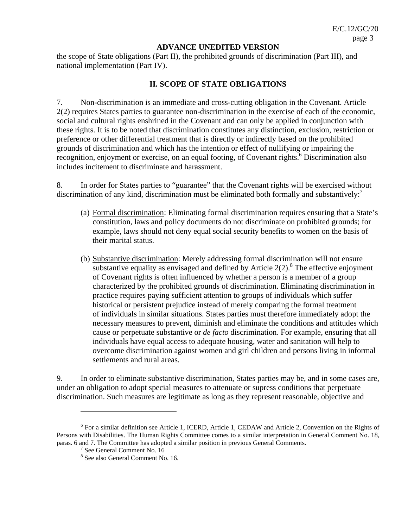the scope of State obligations (Part II), the prohibited grounds of discrimination (Part III), and national implementation (Part IV).

#### **II. SCOPE OF STATE OBLIGATIONS**

7. Non-discrimination is an immediate and cross-cutting obligation in the Covenant. Article 2(2) requires States parties to guarantee non-discrimination in the exercise of each of the economic, social and cultural rights enshrined in the Covenant and can only be applied in conjunction with these rights. It is to be noted that discrimination constitutes any distinction, exclusion, restriction or preference or other differential treatment that is directly or indirectly based on the prohibited grounds of discrimination and which has the intention or effect of nullifying or impairing the recognition, enjoyment or exercise, on an equal footing, of Covenant rights.<sup>6</sup> Discrimination also includes incitement to discriminate and harassment.

8. In order for States parties to "guarantee" that the Covenant rights will be exercised without discrimination of any kind, discrimination must be eliminated both formally and substantively:<sup>7</sup>

- (a) Formal discrimination: Eliminating formal discrimination requires ensuring that a State's constitution, laws and policy documents do not discriminate on prohibited grounds; for example, laws should not deny equal social security benefits to women on the basis of their marital status.
- (b) Substantive discrimination: Merely addressing formal discrimination will not ensure substantive equality as envisaged and defined by Article  $2(2)$ .<sup>8</sup> The effective enjoyment of Covenant rights is often influenced by whether a person is a member of a group characterized by the prohibited grounds of discrimination. Eliminating discrimination in practice requires paying sufficient attention to groups of individuals which suffer historical or persistent prejudice instead of merely comparing the formal treatment of individuals in similar situations. States parties must therefore immediately adopt the necessary measures to prevent, diminish and eliminate the conditions and attitudes which cause or perpetuate substantive or *de facto* discrimination. For example, ensuring that all individuals have equal access to adequate housing, water and sanitation will help to overcome discrimination against women and girl children and persons living in informal settlements and rural areas.

9. In order to eliminate substantive discrimination, States parties may be, and in some cases are, under an obligation to adopt special measures to attenuate or supress conditions that perpetuate discrimination. Such measures are legitimate as long as they represent reasonable, objective and

<sup>&</sup>lt;sup>6</sup> For a similar definition see Article 1, ICERD, Article 1, CEDAW and Article 2, Convention on the Rights of Persons with Disabilities. The Human Rights Committee comes to a similar interpretation in General Comment No. 18, paras. 6 and 7. The Committee has adopted a similar position in previous General Comments. 7

<span id="page-2-1"></span><span id="page-2-0"></span> $\frac{7}{16}$  See General Comment No. 16

<span id="page-2-2"></span><sup>8</sup> See also General Comment No. 16.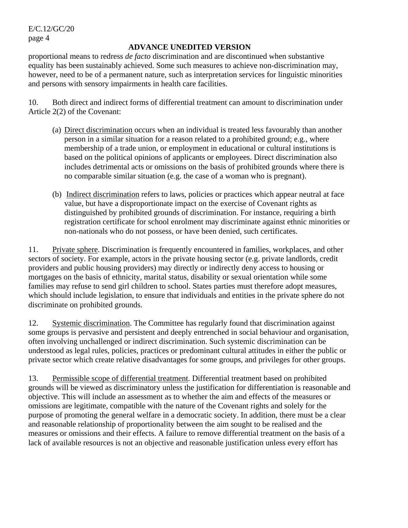# **ADVANCE UNEDITED VERSION**

proportional means to redress *de facto* discrimination and are discontinued when substantive equality has been sustainably achieved. Some such measures to achieve non-discrimination may, however, need to be of a permanent nature, such as interpretation services for linguistic minorities and persons with sensory impairments in health care facilities.

10. Both direct and indirect forms of differential treatment can amount to discrimination under Article 2(2) of the Covenant:

- (a) Direct discrimination occurs when an individual is treated less favourably than another person in a similar situation for a reason related to a prohibited ground; e.g., where membership of a trade union, or employment in educational or cultural institutions is based on the political opinions of applicants or employees. Direct discrimination also includes detrimental acts or omissions on the basis of prohibited grounds where there is no comparable similar situation (e.g. the case of a woman who is pregnant).
- (b) Indirect discrimination refers to laws, policies or practices which appear neutral at face value, but have a disproportionate impact on the exercise of Covenant rights as distinguished by prohibited grounds of discrimination. For instance, requiring a birth registration certificate for school enrolment may discriminate against ethnic minorities or non-nationals who do not possess, or have been denied, such certificates.

11. Private sphere. Discrimination is frequently encountered in families, workplaces, and other sectors of society. For example, actors in the private housing sector (e.g. private landlords, credit providers and public housing providers) may directly or indirectly deny access to housing or mortgages on the basis of ethnicity, marital status, disability or sexual orientation while some families may refuse to send girl children to school. States parties must therefore adopt measures, which should include legislation, to ensure that individuals and entities in the private sphere do not discriminate on prohibited grounds.

12. Systemic discrimination. The Committee has regularly found that discrimination against some groups is pervasive and persistent and deeply entrenched in social behaviour and organisation, often involving unchallenged or indirect discrimination. Such systemic discrimination can be understood as legal rules, policies, practices or predominant cultural attitudes in either the public or private sector which create relative disadvantages for some groups, and privileges for other groups.

13. Permissible scope of differential treatment. Differential treatment based on prohibited grounds will be viewed as discriminatory unless the justification for differentiation is reasonable and objective. This will include an assessment as to whether the aim and effects of the measures or omissions are legitimate, compatible with the nature of the Covenant rights and solely for the purpose of promoting the general welfare in a democratic society. In addition, there must be a clear and reasonable relationship of proportionality between the aim sought to be realised and the measures or omissions and their effects. A failure to remove differential treatment on the basis of a lack of available resources is not an objective and reasonable justification unless every effort has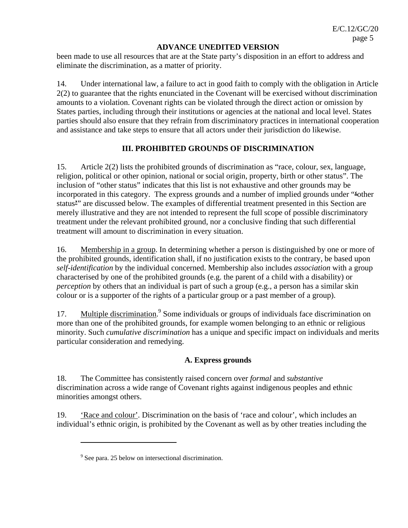been made to use all resources that are at the State party's disposition in an effort to address and eliminate the discrimination, as a matter of priority.

14. Under international law, a failure to act in good faith to comply with the obligation in Article 2(2) to guarantee that the rights enunciated in the Covenant will be exercised without discrimination amounts to a violation. Covenant rights can be violated through the direct action or omission by States parties, including through their institutions or agencies at the national and local level. States parties should also ensure that they refrain from discriminatory practices in international cooperation and assistance and take steps to ensure that all actors under their jurisdiction do likewise.

# **III. PROHIBITED GROUNDS OF DISCRIMINATION**

15. Article 2(2) lists the prohibited grounds of discrimination as "race, colour, sex, language, religion, political or other opinion, national or social origin, property, birth or other status". The inclusion of "other status" indicates that this list is not exhaustive and other grounds may be incorporated in this category. The express grounds and a number of implied grounds under "**'**other status**'**" are discussed below. The examples of differential treatment presented in this Section are merely illustrative and they are not intended to represent the full scope of possible discriminatory treatment under the relevant prohibited ground, nor a conclusive finding that such differential treatment will amount to discrimination in every situation.

16. Membership in a group. In determining whether a person is distinguished by one or more of the prohibited grounds, identification shall, if no justification exists to the contrary, be based upon *self-identification* by the individual concerned. Membership also includes *association* with a group characterised by one of the prohibited grounds (e.g. the parent of a child with a disability) or *perception* by others that an individual is part of such a group (e.g., a person has a similar skin colour or is a supporter of the rights of a particular group or a past member of a group).

17. Multiple discrimination.<sup>[9](#page-4-0)</sup> Some individuals or groups of individuals face discrimination on more than one of the prohibited grounds, for example women belonging to an ethnic or religious minority. Such *cumulative discrimination* has a unique and specific impact on individuals and merits particular consideration and remedying.

## **A. Express grounds**

18. The Committee has consistently raised concern over *formal* and *substantive* discrimination across a wide range of Covenant rights against indigenous peoples and ethnic minorities amongst others.

19. 'Race and colour'. Discrimination on the basis of 'race and colour', which includes an individual's ethnic origin, is prohibited by the Covenant as well as by other treaties including the

<span id="page-4-0"></span><sup>&</sup>lt;sup>9</sup> See para. 25 below on intersectional discrimination.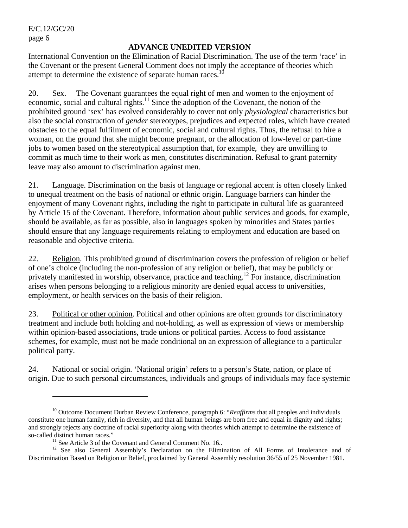<span id="page-5-0"></span> $\overline{a}$ 

# **ADVANCE UNEDITED VERSION**

International Convention on the Elimination of Racial Discrimination. The use of the term 'race' in the Covenant or the present General Comment does not imply the acceptance of theories which attempt to determine the existence of separate human races.<sup>10</sup>

20. Sex. The Covenant guarantees the equal right of men and women to the enjoyment of economic, social and cultural rights.<sup>11</sup> Since the adoption of the Covenant, the notion of the prohibited ground 'sex' has evolved considerably to cover not only *physiological* characteristics but also the social construction of *gender* stereotypes, prejudices and expected roles, which have created obstacles to the equal fulfilment of economic, social and cultural rights. Thus, the refusal to hire a woman, on the ground that she might become pregnant, or the allocation of low-level or part-time jobs to women based on the stereotypical assumption that, for example, they are unwilling to commit as much time to their work as men, constitutes discrimination. Refusal to grant paternity leave may also amount to discrimination against men.

21. Language. Discrimination on the basis of language or regional accent is often closely linked to unequal treatment on the basis of national or ethnic origin. Language barriers can hinder the enjoyment of many Covenant rights, including the right to participate in cultural life as guaranteed by Article 15 of the Covenant. Therefore, information about public services and goods, for example, should be available, as far as possible, also in languages spoken by minorities and States parties should ensure that any language requirements relating to employment and education are based on reasonable and objective criteria.

22. Religion. This prohibited ground of discrimination covers the profession of religion or belief of one's choice (including the non-profession of any religion or belief), that may be publicly or privately manifested in worship, observance, practice and teaching.<sup>12</sup> For instance, discrimination arises when persons belonging to a religious minority are denied equal access to universities, employment, or health services on the basis of their religion.

23. Political or other opinion. Political and other opinions are often grounds for discriminatory treatment and include both holding and not-holding, as well as expression of views or membership within opinion-based associations, trade unions or political parties. Access to food assistance schemes, for example, must not be made conditional on an expression of allegiance to a particular political party.

24. National or social origin. 'National origin' refers to a person's State, nation, or place of origin. Due to such personal circumstances, individuals and groups of individuals may face systemic

<sup>10</sup> Outcome Document Durban Review Conference, paragraph 6: "*Reaffirms* that all peoples and individuals constitute one human family, rich in diversity, and that all human beings are born free and equal in dignity and rights; and strongly rejects any doctrine of racial superiority along with theories which attempt to determine the existence of so-called distinct human races."<br><sup>11</sup> See Article 3 of the Covenant and General Comment No. 16..

<span id="page-5-2"></span><span id="page-5-1"></span>

<sup>&</sup>lt;sup>12</sup> See also General Assembly's Declaration on the Elimination of All Forms of Intolerance and of Discrimination Based on Religion or Belief, proclaimed by General Assembly resolution 36/55 of 25 November 1981.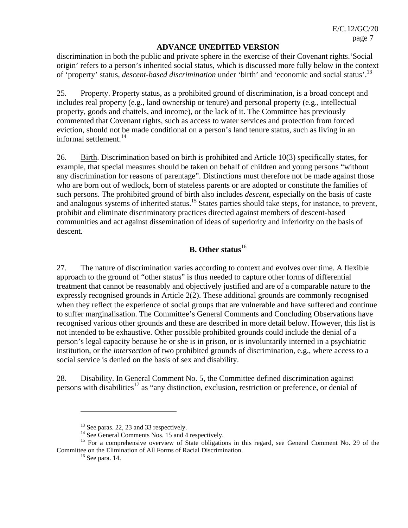discrimination in both the public and private sphere in the exercise of their Covenant rights.'Social origin' refers to a person's inherited social status, which is discussed more fully below in the context of 'property' status, *descent-based discrimination* under 'birth' and 'economic and social status'.[13](#page-6-0) 

25. Property. Property status, as a prohibited ground of discrimination, is a broad concept and includes real property (e.g., land ownership or tenure) and personal property (e.g., intellectual property, goods and chattels, and income), or the lack of it. The Committee has previously commented that Covenant rights, such as access to water services and protection from forced eviction, should not be made conditional on a person's land tenure status, such as living in an informal settlement. $^{14}$ 

26. Birth. Discrimination based on birth is prohibited and Article 10(3) specifically states, for example, that special measures should be taken on behalf of children and young persons "without any discrimination for reasons of parentage". Distinctions must therefore not be made against those who are born out of wedlock, born of stateless parents or are adopted or constitute the families of such persons. The prohibited ground of birth also includes *descent*, especially on the basis of caste and analogous systems of inherited status.<sup>15</sup> States parties should take steps, for instance, to prevent, prohibit and eliminate discriminatory practices directed against members of descent-based communities and act against dissemination of ideas of superiority and inferiority on the basis of descent.

# **B. Other status**<sup>[16](#page-6-3)</sup>

27. The nature of discrimination varies according to context and evolves over time. A flexible approach to the ground of "other status" is thus needed to capture other forms of differential treatment that cannot be reasonably and objectively justified and are of a comparable nature to the expressly recognised grounds in Article 2(2). These additional grounds are commonly recognised when they reflect the experience of social groups that are vulnerable and have suffered and continue to suffer marginalisation. The Committee's General Comments and Concluding Observations have recognised various other grounds and these are described in more detail below. However, this list is not intended to be exhaustive. Other possible prohibited grounds could include the denial of a person's legal capacity because he or she is in prison, or is involuntarily interned in a psychiatric institution, or the *intersection* of two prohibited grounds of discrimination, e.g., where access to a social service is denied on the basis of sex and disability.

<span id="page-6-4"></span>28. Disability. In General Comment No. 5, the Committee defined discrimination against persons with disabilities<sup>17</sup> as "any distinction, exclusion, restriction or preference, or denial of

<span id="page-6-0"></span><sup>&</sup>lt;sup>13</sup> See paras. 22, 23 and 33 respectively.

<span id="page-6-2"></span><span id="page-6-1"></span><sup>&</sup>lt;sup>14</sup> See General Comments Nos. 15 and 4 respectively.

<sup>&</sup>lt;sup>15</sup> For a comprehensive overview of State obligations in this regard, see General Comment No. 29 of the Committee on the Elimination of All Forms of Racial Discrimination.<br><sup>16</sup> See para. 14.

<span id="page-6-3"></span>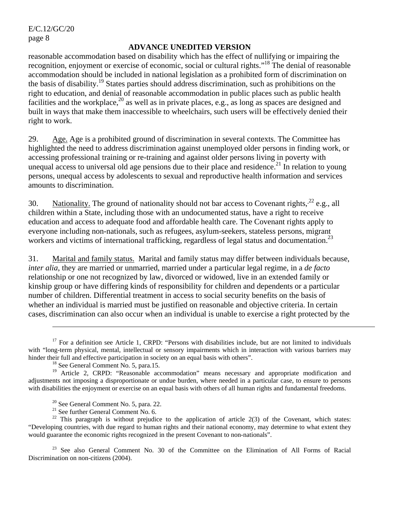$\overline{a}$ 

#### **ADVANCE UNEDITED VERSION**

reasonable accommodation based on disability which has the effect of nullifying or impairing the recognition, enjoyment or exercise of economic, social or cultural rights."[18 T](#page-7-0)he denial of reasonable accommodation should be included in national legislation as a prohibited form of discrimination on the basis of disability.<sup>19</sup> States parties should address discrimination, such as prohibitions on the right to education, and denial of reasonable accommodation in public places such as public health facilities and the workplace,<sup>20</sup> as well as in private places, e.g., as long as spaces are designed and built in ways that make them inaccessible to wheelchairs, such users will be effectively denied their right to work.

29. Age. Age is a prohibited ground of discrimination in several contexts. The Committee has highlighted the need to address discrimination against unemployed older persons in finding work, or accessing professional training or re-training and against older persons living in poverty with unequal access to universal old age pensions due to their place and residence.<sup>21</sup> In relation to young persons, unequal access by adolescents to sexual and reproductive health information and services amounts to discrimination.

30. Nationality. The ground of nationality should not bar access to Covenant rights,  $^{22}$  e.g., all children within a State, including those with an undocumented status, have a right to receive education and access to adequate food and affordable health care. The Covenant rights apply to everyone including non-nationals, such as refugees, asylum-seekers, stateless persons, migrant workers and victims of international trafficking, regardless of legal status and documentation.<sup>23</sup>

31. Marital and family status. Marital and family status may differ between individuals because, *inter alia*, they are married or unmarried, married under a particular legal regime, in a *de facto* relationship or one not recognized by law, divorced or widowed, live in an extended family or kinship group or have differing kinds of responsibility for children and dependents or a particular number of children. Differential treatment in access to social security benefits on the basis of whether an individual is married must be justified on reasonable and objective criteria. In certain cases, discrimination can also occur when an individual is unable to exercise a right protected by the

 $17$  For a definition see Article 1, CRPD: "Persons with disabilities include, but are not limited to individuals with "long-term physical, mental, intellectual or sensory impairments which in interaction with various barriers may hinder their full and effective participation in society on an equal basis with others".<br><sup>18</sup> See General Comment No. 5, para.15.

<span id="page-7-1"></span><span id="page-7-0"></span>

<sup>19</sup> Article 2, CRPD: "Reasonable accommodation" means necessary and appropriate modification and adjustments not imposing a disproportionate or undue burden, where needed in a particular case, to ensure to persons with disabilities the enjoyment or exercise on an equal basis with others of all human rights and fundamental freedoms.

<span id="page-7-2"></span><sup>20</sup> See General Comment No. 5, para. 22.

<span id="page-7-4"></span><span id="page-7-3"></span> $21$  See further General Comment No. 6.

<sup>22</sup> This paragraph is without prejudice to the application of article  $2(3)$  of the Covenant, which states: "Developing countries, with due regard to human rights and their national economy, may determine to what extent they would guarantee the economic rights recognized in the present Covenant to non-nationals".

<span id="page-7-5"></span><sup>23</sup> See also General Comment No. 30 of the Committee on the Elimination of All Forms of Racial Discrimination on non-citizens (2004).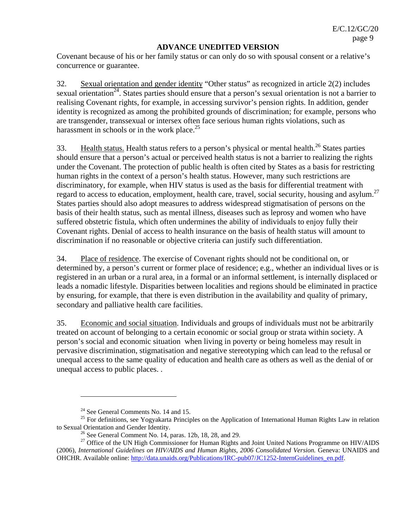Covenant because of his or her family status or can only do so with spousal consent or a relative's concurrence or guarantee.

32. Sexual orientation and gender identity "Other status" as recognized in article 2(2) includes sexual orientation<sup>24</sup>. States parties should ensure that a person's sexual orientation is not a barrier to realising Covenant rights, for example, in accessing survivor's pension rights. In addition, gender identity is recognized as among the prohibited grounds of discrimination; for example, persons who are transgender, transsexual or intersex often face serious human rights violations, such as harassment in schools or in the work place. $25$ 

33. Health status. Health status refers to a person's physical or mental health.<sup>26</sup> States parties should ensure that a person's actual or perceived health status is not a barrier to realizing the rights under the Covenant. The protection of public health is often cited by States as a basis for restricting human rights in the context of a person's health status. However, many such restrictions are discriminatory, for example, when HIV status is used as the basis for differential treatment with regard to access to education, employment, health care, travel, social security, housing and asylum.<sup>27</sup> States parties should also adopt measures to address widespread stigmatisation of persons on the basis of their health status, such as mental illness, diseases such as leprosy and women who have suffered obstetric fistula, which often undermines the ability of individuals to enjoy fully their Covenant rights. Denial of access to health insurance on the basis of health status will amount to discrimination if no reasonable or objective criteria can justify such differentiation.

34. Place of residence. The exercise of Covenant rights should not be conditional on, or determined by, a person's current or former place of residence; e.g., whether an individual lives or is registered in an urban or a rural area, in a formal or an informal settlement, is internally displaced or leads a nomadic lifestyle. Disparities between localities and regions should be eliminated in practice by ensuring, for example, that there is even distribution in the availability and quality of primary, secondary and palliative health care facilities.

35. Economic and social situation. Individuals and groups of individuals must not be arbitrarily treated on account of belonging to a certain economic or social group or strata within society. A person's social and economic situation when living in poverty or being homeless may result in pervasive discrimination, stigmatisation and negative stereotyping which can lead to the refusal or unequal access to the same quality of education and health care as others as well as the denial of or unequal access to public places. .

<span id="page-8-1"></span><span id="page-8-0"></span><sup>&</sup>lt;sup>24</sup> See General Comments No. 14 and 15.

<sup>&</sup>lt;sup>25</sup> For definitions, see Yogyakarta Principles on the Application of International Human Rights Law in relation to Sexual Orientation and Gender Identity.<br><sup>26</sup> See General Comment No. 14, paras. 12b, 18, 28, and 29.

<span id="page-8-3"></span><span id="page-8-2"></span>

<sup>&</sup>lt;sup>27</sup> Office of the UN High Commissioner for Human Rights and Joint United Nations Programme on HIV/AIDS (2006), *International Guidelines on HIV/AIDS and Human Rights, 2006 Consolidated Version.* Geneva: UNAIDS and OHCHR. Available online: [http://data.unaids.org/Publications/IRC-pub07/JC1252-InternGuidelines\\_en.pdf.](http://data.unaids.org/Publications/IRC-pub07/JC1252-InternGuidelines_en.pdf)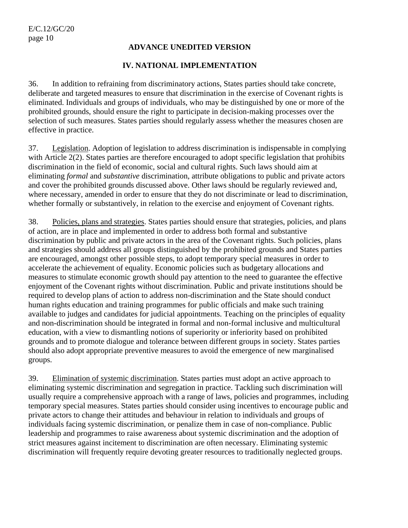#### **IV. NATIONAL IMPLEMENTATION**

36. In addition to refraining from discriminatory actions, States parties should take concrete, deliberate and targeted measures to ensure that discrimination in the exercise of Covenant rights is eliminated. Individuals and groups of individuals, who may be distinguished by one or more of the prohibited grounds, should ensure the right to participate in decision-making processes over the selection of such measures. States parties should regularly assess whether the measures chosen are effective in practice.

37. Legislation. Adoption of legislation to address discrimination is indispensable in complying with Article 2(2). States parties are therefore encouraged to adopt specific legislation that prohibits discrimination in the field of economic, social and cultural rights. Such laws should aim at eliminating *formal* and *substantive* discrimination, attribute obligations to public and private actors and cover the prohibited grounds discussed above. Other laws should be regularly reviewed and, where necessary, amended in order to ensure that they do not discriminate or lead to discrimination, whether formally or substantively, in relation to the exercise and enjoyment of Covenant rights.

38. Policies, plans and strategies. States parties should ensure that strategies, policies, and plans of action, are in place and implemented in order to address both formal and substantive discrimination by public and private actors in the area of the Covenant rights. Such policies, plans and strategies should address all groups distinguished by the prohibited grounds and States parties are encouraged, amongst other possible steps, to adopt temporary special measures in order to accelerate the achievement of equality. Economic policies such as budgetary allocations and measures to stimulate economic growth should pay attention to the need to guarantee the effective enjoyment of the Covenant rights without discrimination. Public and private institutions should be required to develop plans of action to address non-discrimination and the State should conduct human rights education and training programmes for public officials and make such training available to judges and candidates for judicial appointments. Teaching on the principles of equality and non-discrimination should be integrated in formal and non-formal inclusive and multicultural education, with a view to dismantling notions of superiority or inferiority based on prohibited grounds and to promote dialogue and tolerance between different groups in society. States parties should also adopt appropriate preventive measures to avoid the emergence of new marginalised groups.

39. Elimination of systemic discrimination. States parties must adopt an active approach to eliminating systemic discrimination and segregation in practice. Tackling such discrimination will usually require a comprehensive approach with a range of laws, policies and programmes, including temporary special measures. States parties should consider using incentives to encourage public and private actors to change their attitudes and behaviour in relation to individuals and groups of individuals facing systemic discrimination, or penalize them in case of non-compliance. Public leadership and programmes to raise awareness about systemic discrimination and the adoption of strict measures against incitement to discrimination are often necessary. Eliminating systemic discrimination will frequently require devoting greater resources to traditionally neglected groups.